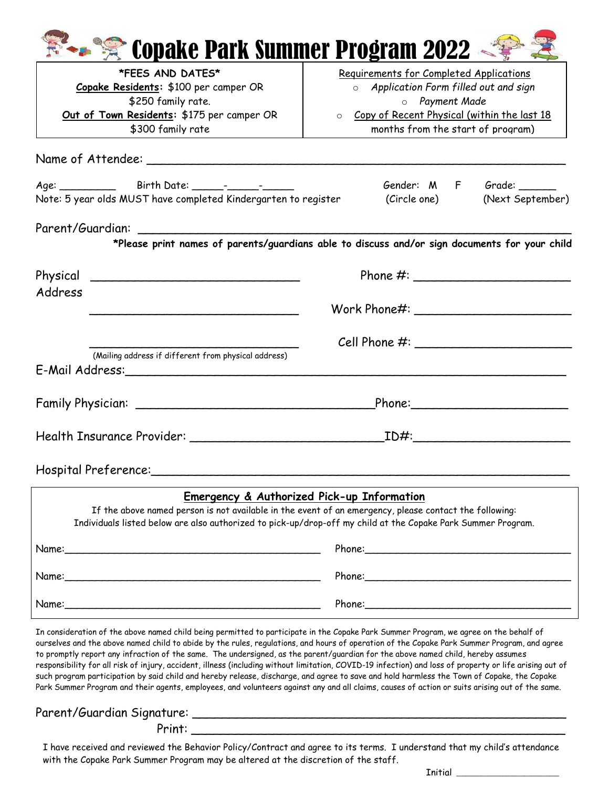| Copake Park Summer Program 2022                                                                                                   |                                                                                                                                                                                                                                                                                                                    |  |  |
|-----------------------------------------------------------------------------------------------------------------------------------|--------------------------------------------------------------------------------------------------------------------------------------------------------------------------------------------------------------------------------------------------------------------------------------------------------------------|--|--|
| <b>*FEES AND DATES*</b>                                                                                                           | Requirements for Completed Applications<br>o Application Form filled out and sign<br>o Payment Made<br>o Copy of Recent Physical (within the last 18                                                                                                                                                               |  |  |
| Copake Residents: \$100 per camper OR                                                                                             |                                                                                                                                                                                                                                                                                                                    |  |  |
| \$250 family rate.                                                                                                                |                                                                                                                                                                                                                                                                                                                    |  |  |
| Out of Town Residents: \$175 per camper OR                                                                                        |                                                                                                                                                                                                                                                                                                                    |  |  |
| \$300 family rate                                                                                                                 | months from the start of program)                                                                                                                                                                                                                                                                                  |  |  |
|                                                                                                                                   |                                                                                                                                                                                                                                                                                                                    |  |  |
|                                                                                                                                   | Gender: M F Grade:                                                                                                                                                                                                                                                                                                 |  |  |
| Note: 5 year olds MUST have completed Kindergarten to register                                                                    | (Circle one) (Next September)                                                                                                                                                                                                                                                                                      |  |  |
|                                                                                                                                   | *Please print names of parents/guardians able to discuss and/or sign documents for your child                                                                                                                                                                                                                      |  |  |
| Physical<br><u> 1980 - Jan Barbara, margaret amerikan basar dan berasal dan berasal dalam basar dalam basar dalam basar dalam</u> | Phone #: $\frac{1}{2}$ $\frac{1}{2}$ $\frac{1}{2}$ $\frac{1}{2}$ $\frac{1}{2}$ $\frac{1}{2}$ $\frac{1}{2}$ $\frac{1}{2}$ $\frac{1}{2}$ $\frac{1}{2}$ $\frac{1}{2}$ $\frac{1}{2}$ $\frac{1}{2}$ $\frac{1}{2}$ $\frac{1}{2}$ $\frac{1}{2}$ $\frac{1}{2}$ $\frac{1}{2}$ $\frac{1}{2}$ $\frac{1}{2}$ $\frac{1}{2}$ $\$ |  |  |
| Address                                                                                                                           |                                                                                                                                                                                                                                                                                                                    |  |  |
|                                                                                                                                   | $Cell$ Phone $#$ :                                                                                                                                                                                                                                                                                                 |  |  |
| (Mailing address if different from physical address)                                                                              |                                                                                                                                                                                                                                                                                                                    |  |  |
|                                                                                                                                   | Phone: 2008                                                                                                                                                                                                                                                                                                        |  |  |
|                                                                                                                                   | <u>ID#:___________________</u>                                                                                                                                                                                                                                                                                     |  |  |
| Hospital Preference:                                                                                                              |                                                                                                                                                                                                                                                                                                                    |  |  |

## $\overline{a}$ **Emergency & Authorized Pick-up Information**

If the above named person is not available in the event of an emergency, please contact the following: Individuals listed below are also authorized to pick-up/drop-off my child at the Copake Park Summer Program. Name:\_\_\_\_\_\_\_\_\_\_\_\_\_\_\_\_\_\_\_\_\_\_\_\_\_\_\_\_\_\_\_\_\_\_\_\_\_\_\_\_\_ Phone:\_\_\_\_\_\_\_\_\_\_\_\_\_\_\_\_\_\_\_\_\_\_\_\_\_\_\_\_\_\_\_\_\_ Name:\_\_\_\_\_\_\_\_\_\_\_\_\_\_\_\_\_\_\_\_\_\_\_\_\_\_\_\_\_\_\_\_\_\_\_\_\_\_\_\_\_ Phone:\_\_\_\_\_\_\_\_\_\_\_\_\_\_\_\_\_\_\_\_\_\_\_\_\_\_\_\_\_\_\_\_\_ Name:\_\_\_\_\_\_\_\_\_\_\_\_\_\_\_\_\_\_\_\_\_\_\_\_\_\_\_\_\_\_\_\_\_\_\_\_\_\_\_\_\_ Phone:\_\_\_\_\_\_\_\_\_\_\_\_\_\_\_\_\_\_\_\_\_\_\_\_\_\_\_\_\_\_\_\_\_

In consideration of the above named child being permitted to participate in the Copake Park Summer Program, we agree on the behalf of ourselves and the above named child to abide by the rules, regulations, and hours of operation of the Copake Park Summer Program, and agree to promptly report any infraction of the same. The undersigned, as the parent/guardian for the above named child, hereby assumes responsibility for all risk of injury, accident, illness (including without limitation, COVID-19 infection) and loss of property or life arising out of such program participation by said child and hereby release, discharge, and agree to save and hold harmless the Town of Copake, the Copake Park Summer Program and their agents, employees, and volunteers against any and all claims, causes of action or suits arising out of the same.

Parent/Guardian Signature:

Print: \_\_\_\_\_\_\_\_\_\_\_\_\_\_\_\_\_\_\_\_\_\_\_\_\_\_\_\_\_\_\_\_\_\_\_\_\_\_\_\_\_\_\_\_\_\_\_\_\_\_

I have received and reviewed the Behavior Policy/Contract and agree to its terms. I understand that my child's attendance with the Copake Park Summer Program may be altered at the discretion of the staff.

 $Initial$   $\qquad \qquad$